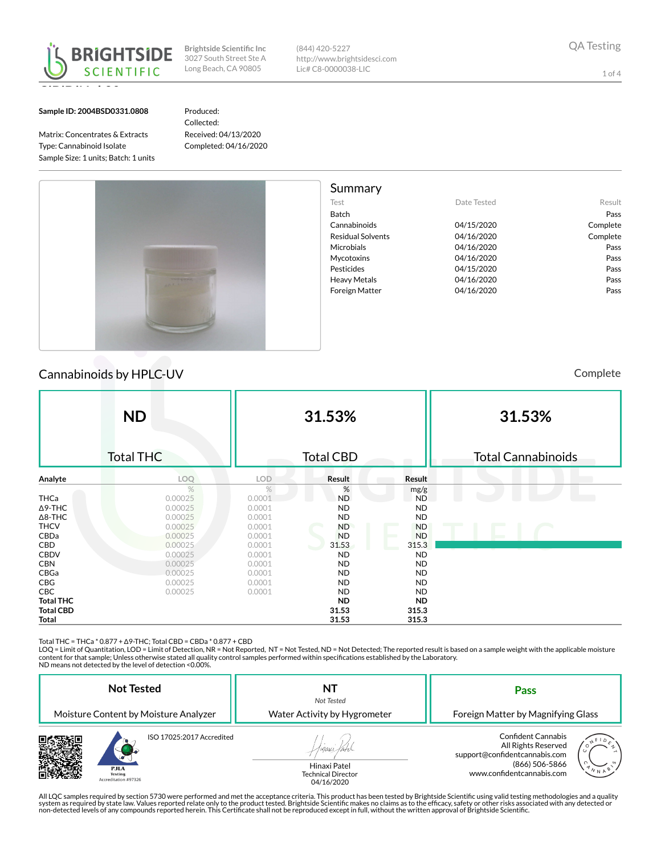

(844) 420-5227 http://www.brightsidesci.com Lic# C8-0000038-LIC

1 of 4

#### Sample ID: 2004BSD0331.0808

Matrix: Concentrates & Extracts Type: Cannabinoid Isolate Sample Size: 1 units; Batch: 1 units Produced: Collected: Received: 04/13/2020 Completed: 04/16/2020



# Cannabinoids by HPLC-UV **Cannabinoids** by HPLC-UV

|                  | <b>ND</b><br><b>Total THC</b> |               | 31.53%<br><b>Total CBD</b> |           | 31.53%<br>Total Cannabinoids |
|------------------|-------------------------------|---------------|----------------------------|-----------|------------------------------|
| Analyte          | LOQ                           | <b>LOD</b>    | Result                     | Result    |                              |
|                  | $\%$                          | $\frac{9}{6}$ | $\%$                       | mg/g      |                              |
| THCa             | 0.00025                       | 0.0001        | <b>ND</b>                  | <b>ND</b> |                              |
| $\Delta$ 9-THC   | 0.00025                       | 0.0001        | <b>ND</b>                  | <b>ND</b> |                              |
| $\Delta$ 8-THC   | 0.00025                       | 0.0001        | <b>ND</b>                  | <b>ND</b> |                              |
| <b>THCV</b>      | 0.00025                       | 0.0001        | <b>ND</b>                  | <b>ND</b> |                              |
| CBDa             | 0.00025                       | 0.0001        | <b>ND</b>                  | <b>ND</b> |                              |
| CBD              | 0.00025                       | 0.0001        | 31.53                      | 315.3     |                              |
| <b>CBDV</b>      | 0.00025                       | 0.0001        | <b>ND</b>                  | <b>ND</b> |                              |
| <b>CBN</b>       | 0.00025                       | 0.0001        | <b>ND</b>                  | <b>ND</b> |                              |
| CBGa             | 0.00025                       | 0.0001        | <b>ND</b>                  | <b>ND</b> |                              |
| CBG              | 0.00025                       | 0.0001        | <b>ND</b>                  | <b>ND</b> |                              |
| <b>CBC</b>       | 0.00025                       | 0.0001        | <b>ND</b>                  | <b>ND</b> |                              |
| <b>Total THC</b> |                               |               | <b>ND</b>                  | <b>ND</b> |                              |
| <b>Total CBD</b> |                               |               | 31.53                      | 315.3     |                              |
| Total            |                               |               | 31.53                      | 315.3     |                              |

Total THC = THCa \* 0.877 + Δ9-THC; Total CBD = CBDa \* 0.877 + CBD<br>LOQ = Limit of Quantitation, LOD = Limit of Detection, NR = Not Reported, NT = Not Tested, ND = Not Detected; The reported result is based on a sample weig content for that sample; Unless otherwise stated all quality control samples performed within specifications established by the Laboratory.

ND means not detected by the level of detection <0.00%.

| <b>Not Tested</b><br>Moisture Content by Moisture Analyzer                         | NT<br>Not Tested<br>Water Activity by Hygrometer                  | Pass<br>Foreign Matter by Magnifying Glass                                                                                                               |  |  |
|------------------------------------------------------------------------------------|-------------------------------------------------------------------|----------------------------------------------------------------------------------------------------------------------------------------------------------|--|--|
| ISO 17025:2017 Accredited<br><b>PJLA</b><br><b>Testing</b><br>Accreditation #97326 | unaxi.<br>Hinaxi Patel<br><b>Technical Director</b><br>04/16/2020 | <b>Confident Cannabis</b><br>All Rights Reserved<br>support@confidentcannabis.com<br>$\sqrt{\frac{1}{N}}$<br>(866) 506-5866<br>www.confidentcannabis.com |  |  |

All LQC samples required by section 5730 were performed and met the acceptance criteria. This product has been tested by Brightside Scientific using valid testing methodologies and a quality<br>system as required by state law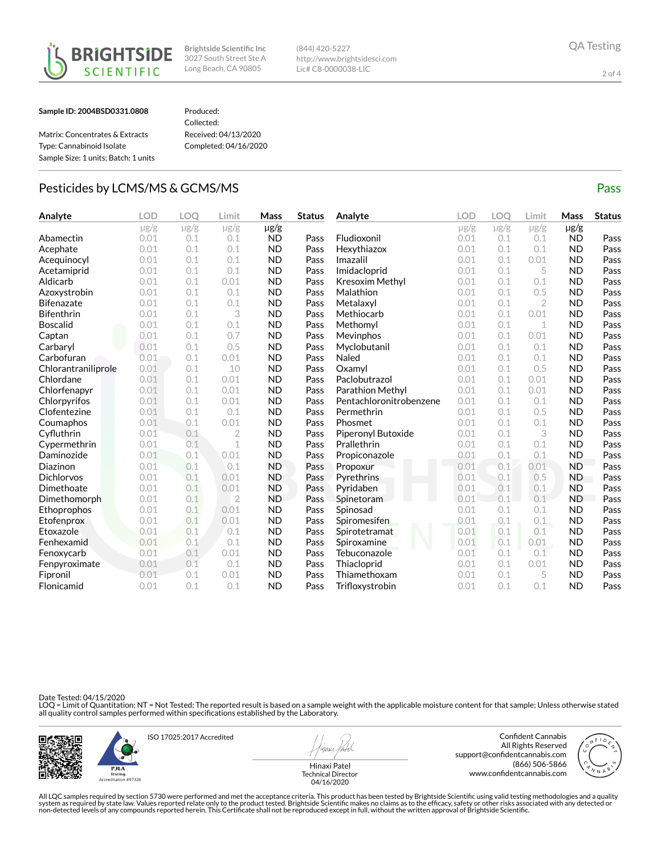



(844) 420-5227 http://www.brightsidesci.com Lic# C8-0000038-LIC

#### Sample ID: 2004BSD0331.0808

### Produced:

| Matrix: Concentrates & Extracts      |
|--------------------------------------|
| Type: Cannabinoid Isolate            |
| Sample Size: 1 units: Batch: 1 units |

Collected: Received: 04/13/2020 Completed: 04/16/2020

## Pesticides by LCMS/MS & GCMS/MS Pass

| Analyte             | <b>LOD</b> | LOO       | Limit          | Mass      | <b>Status</b> | Analyte                 | <b>LOD</b> | <b>LOO</b> | Limit          | Mass      | <b>Status</b> |
|---------------------|------------|-----------|----------------|-----------|---------------|-------------------------|------------|------------|----------------|-----------|---------------|
|                     | $\mu$ g/g  | $\mu$ g/g | $\mu$ g/g      | $\mu$ g/g |               |                         | $\mu$ g/g  | $\mu$ g/g  | $\mu$ g/g      | $\mu$ g/g |               |
| Abamectin           | 0.01       | 0.1       | 0.1            | <b>ND</b> | Pass          | Fludioxonil             | 0.01       | 0.1        | 0.1            | <b>ND</b> | Pass          |
| Acephate            | 0.01       | 0.1       | 0.1            | <b>ND</b> | Pass          | Hexythiazox             | 0.01       | 0.1        | 0.1            | <b>ND</b> | Pass          |
| Acequinocyl         | 0.01       | 0.1       | 0.1            | <b>ND</b> | Pass          | Imazalil                | 0.01       | 0.1        | 0.01           | <b>ND</b> | Pass          |
| Acetamiprid         | 0.01       | 0.1       | 0.1            | <b>ND</b> | Pass          | Imidacloprid            | 0.01       | 0.1        | 5              | <b>ND</b> | Pass          |
| Aldicarb            | 0.01       | 0.1       | 0.01           | <b>ND</b> | Pass          | Kresoxim Methyl         | 0.01       | 0.1        | 0.1            | <b>ND</b> | Pass          |
| Azoxystrobin        | 0.01       | 0.1       | 0.1            | <b>ND</b> | Pass          | Malathion               | 0.01       | 0.1        | 0.5            | <b>ND</b> | Pass          |
| <b>Bifenazate</b>   | 0.01       | 0.1       | 0.1            | <b>ND</b> | Pass          | Metalaxyl               | 0.01       | 0.1        | $\overline{2}$ | <b>ND</b> | Pass          |
| <b>Bifenthrin</b>   | 0.01       | 0.1       | 3              | <b>ND</b> | Pass          | Methiocarb              | 0.01       | 0.1        | 0.01           | <b>ND</b> | Pass          |
| <b>Boscalid</b>     | 0.01       | 0.1       | 0.1            | <b>ND</b> | Pass          | Methomyl                | 0.01       | 0.1        | 1              | <b>ND</b> | Pass          |
| Captan              | 0.01       | 0.1       | 0.7            | <b>ND</b> | Pass          | Mevinphos               | 0.01       | 0.1        | 0.01           | <b>ND</b> | Pass          |
| Carbaryl            | 0.01       | 0.1       | 0.5            | <b>ND</b> | Pass          | Myclobutanil            | 0.01       | 0.1        | 0.1            | <b>ND</b> | Pass          |
| Carbofuran          | 0.01       | 0.1       | 0.01           | <b>ND</b> | Pass          | Naled                   | 0.01       | 0.1        | 0.1            | <b>ND</b> | Pass          |
| Chlorantraniliprole | 0.01       | 0.1       | 10             | <b>ND</b> | Pass          | Oxamyl                  | 0.01       | 0.1        | 0.5            | <b>ND</b> | Pass          |
| Chlordane           | 0.01       | 0.1       | 0.01           | <b>ND</b> | Pass          | Paclobutrazol           | 0.01       | 0.1        | 0.01           | <b>ND</b> | Pass          |
| Chlorfenapyr        | 0.01       | 0.1       | 0.01           | <b>ND</b> | Pass          | Parathion Methyl        | 0.01       | 0.1        | 0.01           | <b>ND</b> | Pass          |
| Chlorpyrifos        | 0.01       | 0.1       | 0.01           | <b>ND</b> | Pass          | Pentachloronitrobenzene | 0.01       | 0.1        | 0.1            | <b>ND</b> | Pass          |
| Clofentezine        | 0.01       | 0.1       | 0.1            | <b>ND</b> | Pass          | Permethrin              | 0.01       | 0.1        | 0.5            | <b>ND</b> | Pass          |
| Coumaphos           | 0.01       | 0.1       | 0.01           | <b>ND</b> | Pass          | Phosmet                 | 0.01       | 0.1        | 0.1            | <b>ND</b> | Pass          |
| Cyfluthrin          | 0.01       | 0.1       | $\overline{2}$ | <b>ND</b> | Pass          | Piperonyl Butoxide      | 0.01       | 0.1        | 3              | <b>ND</b> | Pass          |
| Cypermethrin        | 0.01       | 0.1       | 1              | <b>ND</b> | Pass          | Prallethrin             | 0.01       | 0.1        | 0.1            | <b>ND</b> | Pass          |
| Daminozide          | 0.01       | 0.1       | 0.01           | <b>ND</b> | Pass          | Propiconazole           | 0.01       | 0.1        | 0.1            | <b>ND</b> | Pass          |
| Diazinon            | 0.01       | 0.1       | 0.1            | <b>ND</b> | Pass          | Propoxur                | 0.01       | 0.1        | 0.01           | <b>ND</b> | Pass          |
| <b>Dichlorvos</b>   | 0.01       | 0.1       | 0.01           | <b>ND</b> | Pass          | Pyrethrins              | 0.01       | 0.1        | 0.5            | <b>ND</b> | Pass          |
| Dimethoate          | 0.01       | 0.1       | 0.01           | <b>ND</b> | Pass          | Pyridaben               | 0.01       | 0.1        | 0.1            | <b>ND</b> | Pass          |
| Dimethomorph        | 0.01       | 0.1       | $\overline{2}$ | <b>ND</b> | Pass          | Spinetoram              | 0.01       | 0.1        | 0.1            | <b>ND</b> | Pass          |
| Ethoprophos         | 0.01       | 0.1       | 0.01           | <b>ND</b> | Pass          | Spinosad                | 0.01       | 0.1        | 0.1            | <b>ND</b> | Pass          |
| Etofenprox          | 0.01       | 0.1       | 0.01           | <b>ND</b> | Pass          | Spiromesifen            | 0.01       | 0.1        | 0.1            | <b>ND</b> | Pass          |
| Etoxazole           | 0.01       | 0.1       | 0.1            | <b>ND</b> | Pass          | Spirotetramat           | 0.01       | 0.1        | 0.1            | <b>ND</b> | Pass          |
| Fenhexamid          | 0.01       | 0.1       | 0.1            | <b>ND</b> | Pass          | Spiroxamine             | 0.01       | 0.1        | 0.01           | <b>ND</b> | Pass          |
| Fenoxycarb          | 0.01       | 0.1       | 0.01           | <b>ND</b> | Pass          | Tebuconazole            | 0.01       | 0.1        | 0.1            | <b>ND</b> | Pass          |
| Fenpyroximate       | 0.01       | 0.1       | 0.1            | <b>ND</b> | Pass          | Thiacloprid             | 0.01       | 0.1        | 0.01           | <b>ND</b> | Pass          |
| Fipronil            | 0.01       | 0.1       | 0.01           | <b>ND</b> | Pass          | Thiamethoxam            | 0.01       | 0.1        | 5              | <b>ND</b> | Pass          |
| Flonicamid          | 0.01       | 0.1       | 0.1            | <b>ND</b> | Pass          | Trifloxystrobin         | 0.01       | 0.1        | 0.1            | <b>ND</b> | Pass          |

Date Tested: 04/15/2020

LOQ = Limit of Quantitation; NT = Not Tested; The reported result is based on a sample weight with the applicable moisture content for that sample; Unless otherwise stated<br>all quality control samples performed within speci



PJLA

ISO 17025:2017 Accredited

Hinaxi Patel Technical Director 04/16/2020

Confident Cannabis All Rights Reserved support@confidentcannabis.com (866) 506-5866 www.confidentcannabis.com



All LQC samples required by section 5730 were performed and met the acceptance criteria. This product has been tested by Brightside Scientific using valid testing methodologies and a quality<br>system as required by state law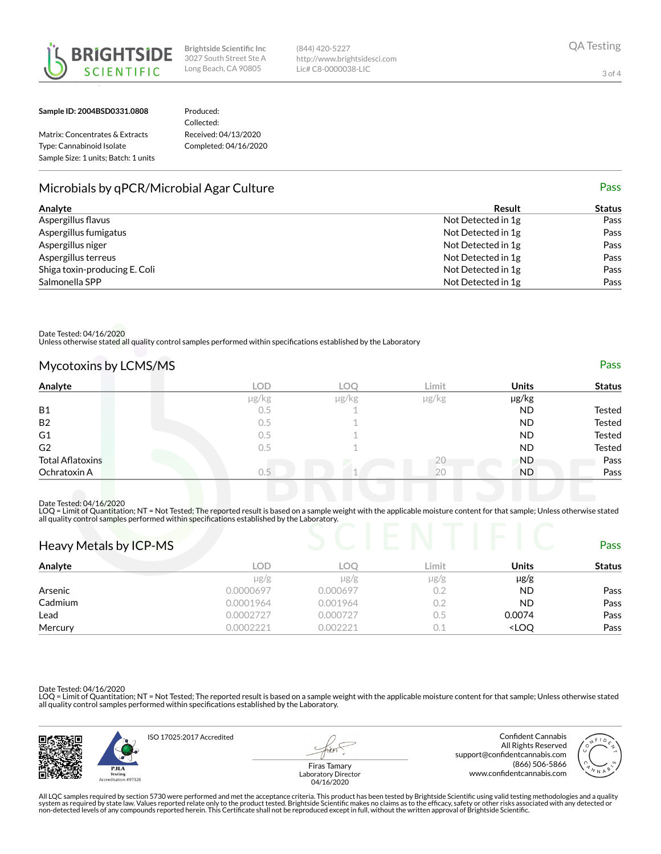



Sample ID: 2004BSD0331.0808

## Produced:

Matrix: Concentrates & Extracts Type: Cannabinoid Isolate Sample Size: 1 units; Batch: 1 units Collected: Received: 04/13/2020 Completed: 04/16/2020

# Microbials by qPCR/Microbial Agar Culture **Pass** and the extent of the Pass of the Pass

| Analyte                       | Result             | <b>Status</b> |
|-------------------------------|--------------------|---------------|
| Aspergillus flavus            | Not Detected in 1g | Pass          |
| Aspergillus fumigatus         | Not Detected in 1g | Pass          |
| Aspergillus niger             | Not Detected in 1g | Pass          |
| Aspergillus terreus           | Not Detected in 1g | Pass          |
| Shiga toxin-producing E. Coli | Not Detected in 1g | Pass          |
| Salmonella SPP                | Not Detected in 1g | Pass          |

(844) 420-5227

http://www.brightsidesci.com Lic# C8-0000038-LIC

Date Tested: 04/16/2020

Unless otherwise stated all quality control samples performed within specifications established by the Laboratory

| Mycotoxins by LCMS/MS | Pass |
|-----------------------|------|
|                       |      |

| Analyte                 | <b>LOD</b> | <b>LOC</b> | Limit         | <b>Units</b> | <b>Status</b> |
|-------------------------|------------|------------|---------------|--------------|---------------|
|                         | µg/kg      | $\mu$ g/kg | $\mu$ g/ $kg$ | µg/kg        |               |
| <b>B1</b>               | 0.5        |            |               | ND           | Tested        |
| <b>B2</b>               | $0.5\,$    |            |               | <b>ND</b>    | Tested        |
| G1                      | $0.5\,$    |            |               | <b>ND</b>    | Tested        |
| G <sub>2</sub>          | 0.5        |            |               | <b>ND</b>    | Tested        |
| <b>Total Aflatoxins</b> |            |            |               | <b>ND</b>    | Pass          |
| Ochratoxin A            | 0.5        |            | 20            | <b>ND</b>    | Pass          |

Date Tested: 04/16/2020

LOQ = Limit of Quantitation; NT = Not Tested; The reported result is based on a sample weight with the applicable moisture content for that sample; Unless otherwise stated<br>all quality control samples performed within speci

| Heavy Metals by ICP-MS |           |            |           |                                  | <b>Pass</b>   |
|------------------------|-----------|------------|-----------|----------------------------------|---------------|
| Analyte                | LOD       | <b>LOO</b> | Limit     | Units                            | <b>Status</b> |
|                        | $\mu$ g/g | $\mu$ g/g  | $\mu$ g/g | $\mu$ g/g                        |               |
| Arsenic                | 0.0000697 | 0.000697   | 0.2       | <b>ND</b>                        | Pass          |
| Cadmium                | 0.0001964 | 0.001964   | 0.2       | <b>ND</b>                        | Pass          |
| Lead                   | 0.0002727 | 0.000727   | 0.5       | 0.0074                           | Pass          |
| Mercury                | 0.0002221 | 0.002221   | 0.1       | <loq< td=""><td>Pass</td></loq<> | Pass          |

Date Tested: 04/16/2020

LOQ = Limit of Quantitation; NT = Not Tested; The reported result is based on a sample weight with the applicable moisture content for that sample; Unless otherwise stated all quality control samples performed within specifications established by the Laboratory.



All LQC samples required by section 5730 were performed and met the acceptance criteria. This product has been tested by Brightside Scientific using valid testing methodologies and a quality<br>system as required by state law